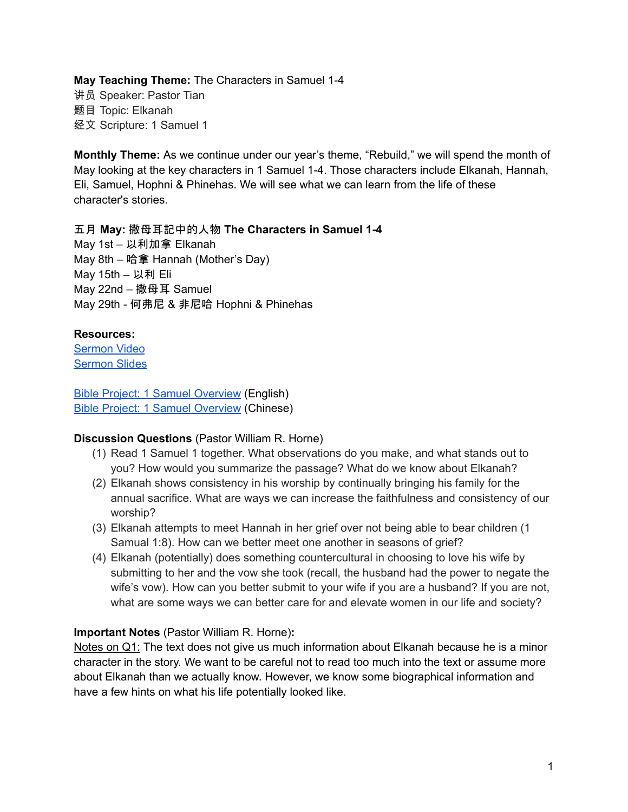**May Teaching Theme:** The Characters in Samuel 1-4 讲员 Speaker: Pastor Tian 题目 Topic: Elkanah 经文 Scripture: 1 Samuel 1

**Monthly Theme:** As we continue under our year's theme, "Rebuild," we will spend the month of May looking at the key characters in 1 Samuel 1-4. Those characters include Elkanah, Hannah, Eli, Samuel, Hophni & Phinehas. We will see what we can learn from the life of these character's stories.

五月 **May:** 撒母耳記中的人物 **The Characters in Samuel 1-4** May 1st – 以利加拿 Elkanah May 8th – 哈拿 Hannah (Mother's Day) May 15th – 以利 Eli May 22nd – 撒母耳 Samuel May 29th - 何弗尼 & 非尼哈 Hophni & Phinehas

## **Resources:**

[Sermon](https://www.youtube.com/watch?v=Dx3SWTMxMME) Video [Sermon](https://docs.google.com/presentation/d/18BaT6p1pNQCE834gbBTP6S2E2lEXQa0T/edit?usp=sharing&ouid=111022305003760555164&rtpof=true&sd=true) Slides

Bible Project: 1 Samuel [Overview](https://bibleproject.com/explore/video/1-samuel/) (English) Bible Project: 1 Samuel [Overview](https://www.youtube.com/watch?v=LO2pgCfIES4) (Chinese)

## **Discussion Questions** (Pastor William R. Horne)

- (1) Read 1 Samuel 1 together. What observations do you make, and what stands out to you? How would you summarize the passage? What do we know about Elkanah?
- (2) Elkanah shows consistency in his worship by continually bringing his family for the annual sacrifice. What are ways we can increase the faithfulness and consistency of our worship?
- (3) Elkanah attempts to meet Hannah in her grief over not being able to bear children (1 Samual 1:8). How can we better meet one another in seasons of grief?
- (4) Elkanah (potentially) does something countercultural in choosing to love his wife by submitting to her and the vow she took (recall, the husband had the power to negate the wife's vow). How can you better submit to your wife if you are a husband? If you are not, what are some ways we can better care for and elevate women in our life and society?

## **Important Notes** (Pastor William R. Horne)**:**

Notes on Q1: The text does not give us much information about Elkanah because he is a minor character in the story. We want to be careful not to read too much into the text or assume more about Elkanah than we actually know. However, we know some biographical information and have a few hints on what his life potentially looked like.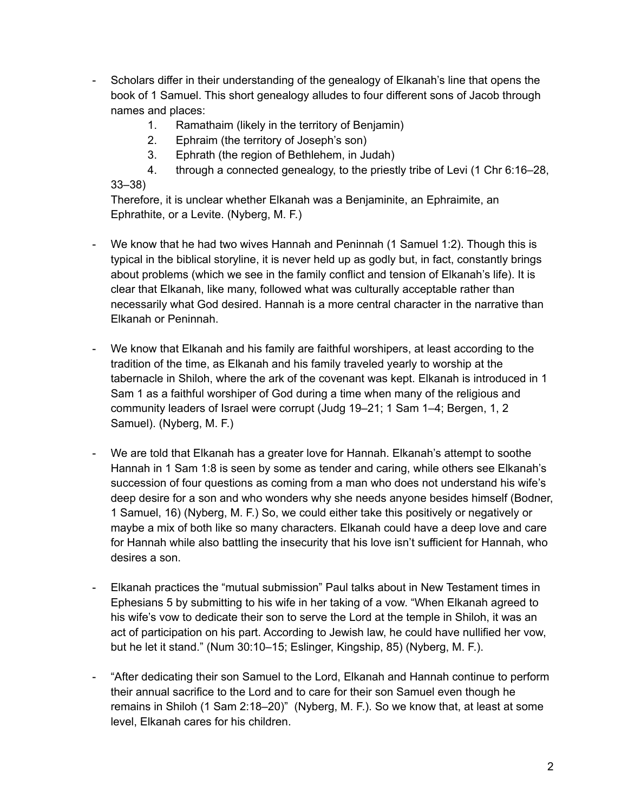- Scholars differ in their understanding of the genealogy of Elkanah's line that opens the book of 1 Samuel. This short genealogy alludes to four different sons of Jacob through names and places:
	- 1. Ramathaim (likely in the territory of Benjamin)
	- 2. Ephraim (the territory of Joseph's son)
	- 3. Ephrath (the region of Bethlehem, in Judah)
	- 4. through a connected genealogy, to the priestly tribe of Levi (1 Chr 6:16–28,

33–38)

Therefore, it is unclear whether Elkanah was a Benjaminite, an Ephraimite, an Ephrathite, or a Levite. (Nyberg, M. F.)

- We know that he had two wives Hannah and Peninnah (1 Samuel 1:2). Though this is typical in the biblical storyline, it is never held up as godly but, in fact, constantly brings about problems (which we see in the family conflict and tension of Elkanah's life). It is clear that Elkanah, like many, followed what was culturally acceptable rather than necessarily what God desired. Hannah is a more central character in the narrative than Elkanah or Peninnah.
- We know that Elkanah and his family are faithful worshipers, at least according to the tradition of the time, as Elkanah and his family traveled yearly to worship at the tabernacle in Shiloh, where the ark of the covenant was kept. Elkanah is introduced in 1 Sam 1 as a faithful worshiper of God during a time when many of the religious and community leaders of Israel were corrupt (Judg 19–21; 1 Sam 1–4; Bergen, 1, 2 Samuel). (Nyberg, M. F.)
- We are told that Elkanah has a greater love for Hannah. Elkanah's attempt to soothe Hannah in 1 Sam 1:8 is seen by some as tender and caring, while others see Elkanah's succession of four questions as coming from a man who does not understand his wife's deep desire for a son and who wonders why she needs anyone besides himself (Bodner, 1 Samuel, 16) (Nyberg, M. F.) So, we could either take this positively or negatively or maybe a mix of both like so many characters. Elkanah could have a deep love and care for Hannah while also battling the insecurity that his love isn't sufficient for Hannah, who desires a son.
- Elkanah practices the "mutual submission" Paul talks about in New Testament times in Ephesians 5 by submitting to his wife in her taking of a vow. "When Elkanah agreed to his wife's vow to dedicate their son to serve the Lord at the temple in Shiloh, it was an act of participation on his part. According to Jewish law, he could have nullified her vow, but he let it stand." (Num 30:10–15; Eslinger, Kingship, 85) (Nyberg, M. F.).
- "After dedicating their son Samuel to the Lord, Elkanah and Hannah continue to perform their annual sacrifice to the Lord and to care for their son Samuel even though he remains in Shiloh (1 Sam 2:18–20)" (Nyberg, M. F.). So we know that, at least at some level, Elkanah cares for his children.